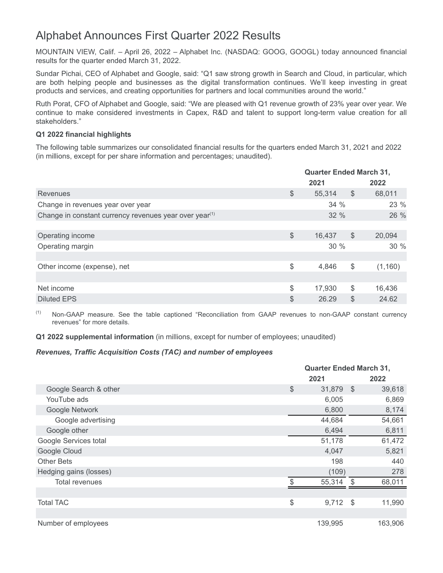# Alphabet Announces First Quarter 2022 Results

MOUNTAIN VIEW, Calif. – April 26, 2022 – Alphabet Inc. (NASDAQ: GOOG, GOOGL) today announced financial results for the quarter ended March 31, 2022.

Sundar Pichai, CEO of Alphabet and Google, said: "Q1 saw strong growth in Search and Cloud, in particular, which are both helping people and businesses as the digital transformation continues. We'll keep investing in great products and services, and creating opportunities for partners and local communities around the world."

Ruth Porat, CFO of Alphabet and Google, said: "We are pleased with Q1 revenue growth of 23% year over year. We continue to make considered investments in Capex, R&D and talent to support long-term value creation for all stakeholders."

# **Q1 2022 financial highlights**

The following table summarizes our consolidated financial results for the quarters ended March 31, 2021 and 2022 (in millions, except for per share information and percentages; unaudited).

|                                                                    |               | <b>Quarter Ended March 31,</b> |               |          |  |
|--------------------------------------------------------------------|---------------|--------------------------------|---------------|----------|--|
|                                                                    |               | 2021                           |               | 2022     |  |
| Revenues                                                           | $\frac{1}{2}$ | 55,314                         | $\$\$         | 68,011   |  |
| Change in revenues year over year                                  |               | 34%                            |               | 23 %     |  |
| Change in constant currency revenues year over year <sup>(1)</sup> |               | 32 %                           |               | 26 %     |  |
|                                                                    |               |                                |               |          |  |
| Operating income                                                   | \$            | 16,437                         | $\$\$         | 20,094   |  |
| Operating margin                                                   |               | 30%                            |               | 30 %     |  |
|                                                                    |               |                                |               |          |  |
| Other income (expense), net                                        | $\frac{1}{2}$ | 4,846                          | $\frac{1}{2}$ | (1, 160) |  |
|                                                                    |               |                                |               |          |  |
| Net income                                                         | \$            | 17,930                         | \$            | 16,436   |  |
| <b>Diluted EPS</b>                                                 | \$            | 26.29                          | \$            | 24.62    |  |

(1) Non-GAAP measure. See the table captioned "Reconciliation from GAAP revenues to non-GAAP constant currency revenues" for more details.

**Q1 2022 supplemental information** (in millions, except for number of employees; unaudited)

# *Revenues, Traffic Acquisition Costs (TAC) and number of employees*

|                        | <b>Quarter Ended March 31,</b> |      |         |  |
|------------------------|--------------------------------|------|---------|--|
|                        | 2021                           |      | 2022    |  |
| Google Search & other  | \$<br>31,879                   | - \$ | 39,618  |  |
| YouTube ads            | 6,005                          |      | 6,869   |  |
| Google Network         | 6,800                          |      | 8,174   |  |
| Google advertising     | 44,684                         |      | 54,661  |  |
| Google other           | 6,494                          |      | 6,811   |  |
| Google Services total  | 51,178                         |      | 61,472  |  |
| Google Cloud           | 4,047                          |      | 5,821   |  |
| <b>Other Bets</b>      | 198                            |      | 440     |  |
| Hedging gains (losses) | (109)                          |      | 278     |  |
| Total revenues         | 55,314                         | \$.  | 68,011  |  |
|                        |                                |      |         |  |
| <b>Total TAC</b>       | \$<br>9,712                    | - \$ | 11,990  |  |
|                        |                                |      |         |  |
| Number of employees    | 139,995                        |      | 163,906 |  |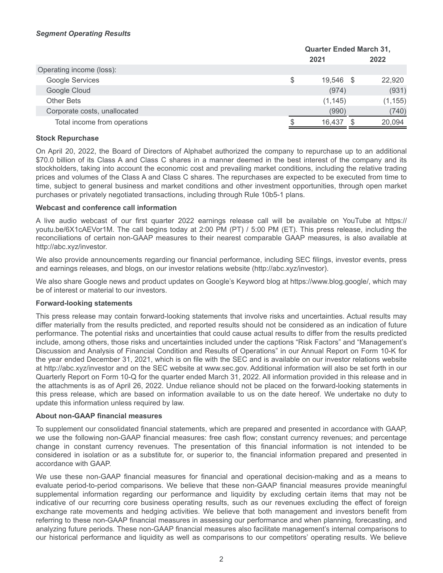|                              | <b>Quarter Ended March 31,</b> |  |          |  |
|------------------------------|--------------------------------|--|----------|--|
|                              | 2021                           |  | 2022     |  |
| Operating income (loss):     |                                |  |          |  |
| Google Services              | \$<br>19,546 \$                |  | 22,920   |  |
| Google Cloud                 | (974)                          |  | (931)    |  |
| <b>Other Bets</b>            | (1, 145)                       |  | (1, 155) |  |
| Corporate costs, unallocated | (990)                          |  | (740)    |  |
| Total income from operations | 16.437                         |  | 20,094   |  |

# **Stock Repurchase**

On April 20, 2022, the Board of Directors of Alphabet authorized the company to repurchase up to an additional \$70.0 billion of its Class A and Class C shares in a manner deemed in the best interest of the company and its stockholders, taking into account the economic cost and prevailing market conditions, including the relative trading prices and volumes of the Class A and Class C shares. The repurchases are expected to be executed from time to time, subject to general business and market conditions and other investment opportunities, through open market purchases or privately negotiated transactions, including through Rule 10b5-1 plans.

## **Webcast and conference call information**

A live audio webcast of our first quarter 2022 earnings release call will be available on YouTube at https:// youtu.be/6X1cAEVor1M. The call begins today at 2:00 PM (PT) / 5:00 PM (ET). This press release, including the reconciliations of certain non-GAAP measures to their nearest comparable GAAP measures, is also available at http://abc.xyz/investor.

We also provide announcements regarding our financial performance, including SEC filings, investor events, press and earnings releases, and blogs, on our investor relations website (http://abc.xyz/investor).

We also share Google news and product updates on Google's Keyword blog at https://www.blog.google/, which may be of interest or material to our investors.

## **Forward-looking statements**

This press release may contain forward-looking statements that involve risks and uncertainties. Actual results may differ materially from the results predicted, and reported results should not be considered as an indication of future performance. The potential risks and uncertainties that could cause actual results to differ from the results predicted include, among others, those risks and uncertainties included under the captions "Risk Factors" and "Management's Discussion and Analysis of Financial Condition and Results of Operations" in our Annual Report on Form 10-K for the year ended December 31, 2021, which is on file with the SEC and is available on our investor relations website at http://abc.xyz/investor and on the SEC website at www.sec.gov. Additional information will also be set forth in our Quarterly Report on Form 10-Q for the quarter ended March 31, 2022. All information provided in this release and in the attachments is as of April 26, 2022. Undue reliance should not be placed on the forward-looking statements in this press release, which are based on information available to us on the date hereof. We undertake no duty to update this information unless required by law.

## **About non-GAAP financial measures**

To supplement our consolidated financial statements, which are prepared and presented in accordance with GAAP, we use the following non-GAAP financial measures: free cash flow; constant currency revenues; and percentage change in constant currency revenues. The presentation of this financial information is not intended to be considered in isolation or as a substitute for, or superior to, the financial information prepared and presented in accordance with GAAP.

We use these non-GAAP financial measures for financial and operational decision-making and as a means to evaluate period-to-period comparisons. We believe that these non-GAAP financial measures provide meaningful supplemental information regarding our performance and liquidity by excluding certain items that may not be indicative of our recurring core business operating results, such as our revenues excluding the effect of foreign exchange rate movements and hedging activities. We believe that both management and investors benefit from referring to these non-GAAP financial measures in assessing our performance and when planning, forecasting, and analyzing future periods. These non-GAAP financial measures also facilitate management's internal comparisons to our historical performance and liquidity as well as comparisons to our competitors' operating results. We believe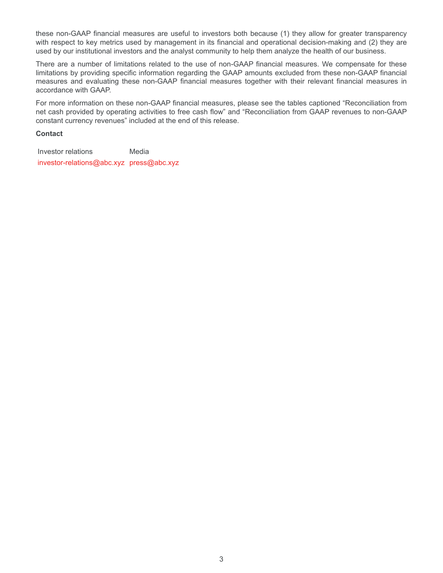these non-GAAP financial measures are useful to investors both because (1) they allow for greater transparency with respect to key metrics used by management in its financial and operational decision-making and (2) they are used by our institutional investors and the analyst community to help them analyze the health of our business.

There are a number of limitations related to the use of non-GAAP financial measures. We compensate for these limitations by providing specific information regarding the GAAP amounts excluded from these non-GAAP financial measures and evaluating these non-GAAP financial measures together with their relevant financial measures in accordance with GAAP.

For more information on these non-GAAP financial measures, please see the tables captioned "Reconciliation from net cash provided by operating activities to free cash flow" and "Reconciliation from GAAP revenues to non-GAAP constant currency revenues" included at the end of this release.

## **Contact**

Investor relations Media investor-relations@abc.xyz press@abc.xyz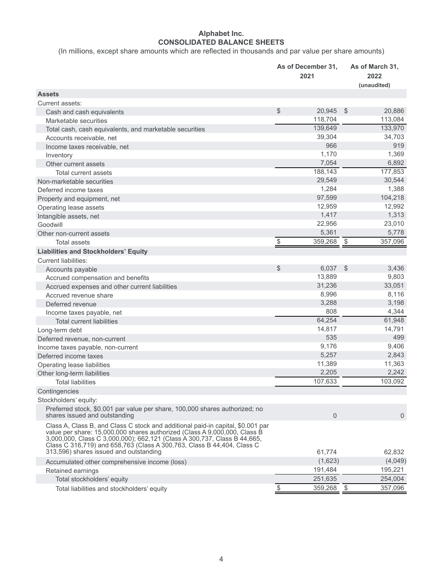# **Alphabet Inc. CONSOLIDATED BALANCE SHEETS**

(In millions, except share amounts which are reflected in thousands and par value per share amounts)

|                                                                                                                                                                                                                                                                                                                                                              | As of December 31,<br>2021 |                         | As of March 31,<br>2022<br>(unaudited) |
|--------------------------------------------------------------------------------------------------------------------------------------------------------------------------------------------------------------------------------------------------------------------------------------------------------------------------------------------------------------|----------------------------|-------------------------|----------------------------------------|
| <b>Assets</b>                                                                                                                                                                                                                                                                                                                                                |                            |                         |                                        |
| Current assets:                                                                                                                                                                                                                                                                                                                                              |                            |                         |                                        |
| Cash and cash equivalents                                                                                                                                                                                                                                                                                                                                    | \$<br>20,945               | $\sqrt[6]{\frac{1}{2}}$ | 20,886                                 |
| Marketable securities                                                                                                                                                                                                                                                                                                                                        | 118,704                    |                         | 113,084                                |
| Total cash, cash equivalents, and marketable securities                                                                                                                                                                                                                                                                                                      | 139,649                    |                         | 133,970                                |
| Accounts receivable, net                                                                                                                                                                                                                                                                                                                                     | 39,304                     |                         | 34,703                                 |
| Income taxes receivable, net                                                                                                                                                                                                                                                                                                                                 | 966                        |                         | 919                                    |
| Inventory                                                                                                                                                                                                                                                                                                                                                    | 1,170                      |                         | 1,369                                  |
| Other current assets                                                                                                                                                                                                                                                                                                                                         | 7,054                      |                         | 6,892                                  |
| <b>Total current assets</b>                                                                                                                                                                                                                                                                                                                                  | 188,143                    |                         | 177,853                                |
| Non-marketable securities                                                                                                                                                                                                                                                                                                                                    | 29,549                     |                         | 30,544                                 |
| Deferred income taxes                                                                                                                                                                                                                                                                                                                                        | 1,284                      |                         | 1,388                                  |
| Property and equipment, net                                                                                                                                                                                                                                                                                                                                  | 97,599                     |                         | 104,218                                |
| Operating lease assets                                                                                                                                                                                                                                                                                                                                       | 12,959                     |                         | 12,992                                 |
| Intangible assets, net                                                                                                                                                                                                                                                                                                                                       | 1,417                      |                         | 1,313                                  |
| Goodwill                                                                                                                                                                                                                                                                                                                                                     | 22,956                     |                         | 23,010                                 |
| Other non-current assets                                                                                                                                                                                                                                                                                                                                     | 5,361                      |                         | 5,778                                  |
| <b>Total assets</b>                                                                                                                                                                                                                                                                                                                                          | \$<br>359,268              | $\frac{1}{2}$           | 357,096                                |
| <b>Liabilities and Stockholders' Equity</b>                                                                                                                                                                                                                                                                                                                  |                            |                         |                                        |
| <b>Current liabilities:</b>                                                                                                                                                                                                                                                                                                                                  |                            |                         |                                        |
| Accounts payable                                                                                                                                                                                                                                                                                                                                             | \$<br>6,037                | $\mathcal{S}$           | 3,436                                  |
| Accrued compensation and benefits                                                                                                                                                                                                                                                                                                                            | 13,889                     |                         | 9,803                                  |
| Accrued expenses and other current liabilities                                                                                                                                                                                                                                                                                                               | 31,236                     |                         | 33,051                                 |
| Accrued revenue share                                                                                                                                                                                                                                                                                                                                        | 8,996                      |                         | 8,116                                  |
| Deferred revenue                                                                                                                                                                                                                                                                                                                                             | 3,288                      |                         | 3,198                                  |
| Income taxes payable, net                                                                                                                                                                                                                                                                                                                                    | 808                        |                         | 4,344                                  |
| <b>Total current liabilities</b>                                                                                                                                                                                                                                                                                                                             | 64,254                     |                         | 61,948                                 |
| Long-term debt                                                                                                                                                                                                                                                                                                                                               | 14,817                     |                         | 14,791                                 |
| Deferred revenue, non-current                                                                                                                                                                                                                                                                                                                                | 535                        |                         | 499                                    |
| Income taxes payable, non-current                                                                                                                                                                                                                                                                                                                            | 9,176                      |                         | 9,406                                  |
| Deferred income taxes                                                                                                                                                                                                                                                                                                                                        | 5,257                      |                         | 2,843                                  |
| Operating lease liabilities                                                                                                                                                                                                                                                                                                                                  | 11,389                     |                         | 11,363                                 |
| Other long-term liabilities                                                                                                                                                                                                                                                                                                                                  | 2,205                      |                         | 2,242                                  |
| <b>Total liabilities</b>                                                                                                                                                                                                                                                                                                                                     | 107,633                    |                         | 103,092                                |
| Contingencies                                                                                                                                                                                                                                                                                                                                                |                            |                         |                                        |
| Stockholders' equity:                                                                                                                                                                                                                                                                                                                                        |                            |                         |                                        |
| Preferred stock, \$0.001 par value per share, 100,000 shares authorized; no<br>shares issued and outstanding                                                                                                                                                                                                                                                 | $\mathbf 0$                |                         | $\Omega$                               |
| Class A, Class B, and Class C stock and additional paid-in capital, \$0.001 par<br>value per share: 15,000,000 shares authorized (Class A 9,000,000, Class B<br>3,000,000, Class C 3,000,000); 662,121 (Class A 300,737, Class B 44,665,<br>Class C 316,719) and 658,763 (Class A 300,763, Class B 44,404, Class C<br>313,596) shares issued and outstanding | 61.774                     |                         | 62,832                                 |
| Accumulated other comprehensive income (loss)                                                                                                                                                                                                                                                                                                                | (1,623)                    |                         | (4,049)                                |
| Retained earnings                                                                                                                                                                                                                                                                                                                                            | 191,484                    |                         | 195,221                                |
| Total stockholders' equity                                                                                                                                                                                                                                                                                                                                   | 251,635                    |                         | 254,004                                |
|                                                                                                                                                                                                                                                                                                                                                              | \$<br>359,268              | - \$                    | 357,096                                |
| Total liabilities and stockholders' equity                                                                                                                                                                                                                                                                                                                   |                            |                         |                                        |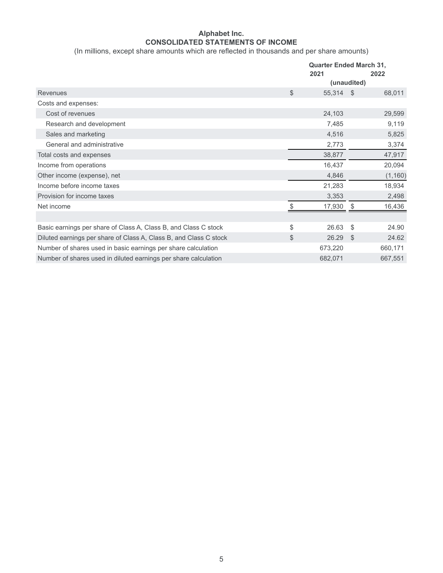# **Alphabet Inc. CONSOLIDATED STATEMENTS OF INCOME**

(In millions, except share amounts which are reflected in thousands and per share amounts)

|                                                                   | <b>Quarter Ended March 31,</b> |      |          |  |
|-------------------------------------------------------------------|--------------------------------|------|----------|--|
|                                                                   | 2021                           |      | 2022     |  |
|                                                                   | (unaudited)                    |      |          |  |
| Revenues                                                          | \$<br>55,314                   | - \$ | 68,011   |  |
| Costs and expenses:                                               |                                |      |          |  |
| Cost of revenues                                                  | 24,103                         |      | 29,599   |  |
| Research and development                                          | 7,485                          |      | 9,119    |  |
| Sales and marketing                                               | 4,516                          |      | 5,825    |  |
| General and administrative                                        | 2,773                          |      | 3,374    |  |
| Total costs and expenses                                          | 38,877                         |      | 47,917   |  |
| Income from operations                                            | 16,437                         |      | 20,094   |  |
| Other income (expense), net                                       | 4,846                          |      | (1, 160) |  |
| Income before income taxes                                        | 21,283                         |      | 18,934   |  |
| Provision for income taxes                                        | 3,353                          |      | 2,498    |  |
| Net income                                                        | \$<br>17,930                   | -\$  | 16,436   |  |
|                                                                   |                                |      |          |  |
| Basic earnings per share of Class A, Class B, and Class C stock   | \$<br>26.63                    | -\$  | 24.90    |  |
| Diluted earnings per share of Class A, Class B, and Class C stock | \$<br>26.29                    | -\$  | 24.62    |  |
| Number of shares used in basic earnings per share calculation     | 673,220                        |      | 660,171  |  |
| Number of shares used in diluted earnings per share calculation   | 682,071                        |      | 667,551  |  |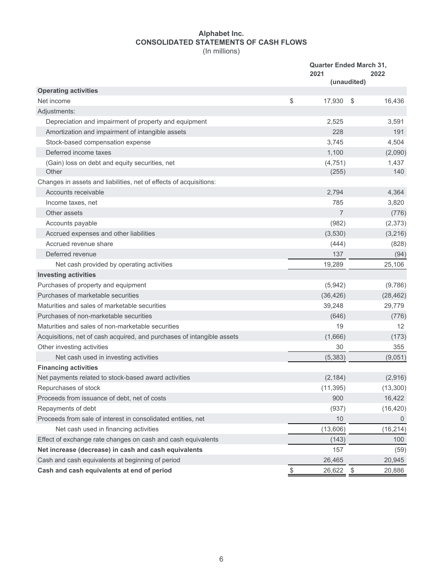## **Alphabet Inc. CONSOLIDATED STATEMENTS OF CASH FLOWS** (In millions)

|                                                                        | <b>Quarter Ended March 31,</b><br>2021<br>2022<br>(unaudited) |      |                |
|------------------------------------------------------------------------|---------------------------------------------------------------|------|----------------|
| <b>Operating activities</b>                                            |                                                               |      |                |
| Net income                                                             | \$<br>17,930                                                  | - \$ | 16,436         |
| Adjustments:                                                           |                                                               |      |                |
| Depreciation and impairment of property and equipment                  | 2,525                                                         |      | 3,591          |
| Amortization and impairment of intangible assets                       | 228                                                           |      | 191            |
| Stock-based compensation expense                                       | 3,745                                                         |      | 4,504          |
| Deferred income taxes                                                  | 1,100                                                         |      | (2,090)        |
| (Gain) loss on debt and equity securities, net                         | (4, 751)                                                      |      | 1,437          |
| Other                                                                  | (255)                                                         |      | 140            |
| Changes in assets and liabilities, net of effects of acquisitions:     |                                                               |      |                |
| Accounts receivable                                                    | 2,794                                                         |      | 4,364          |
| Income taxes, net                                                      | 785                                                           |      | 3,820          |
| Other assets                                                           | 7                                                             |      | (776)          |
| Accounts payable                                                       | (982)                                                         |      | (2, 373)       |
| Accrued expenses and other liabilities                                 | (3,530)                                                       |      | (3,216)        |
| Accrued revenue share                                                  | (444)                                                         |      | (828)          |
| Deferred revenue                                                       | 137                                                           |      | (94)           |
| Net cash provided by operating activities                              | 19,289                                                        |      | 25,106         |
| <b>Investing activities</b>                                            |                                                               |      |                |
| Purchases of property and equipment                                    | (5,942)                                                       |      | (9,786)        |
| Purchases of marketable securities                                     | (36, 426)                                                     |      | (28, 462)      |
| Maturities and sales of marketable securities                          | 39,248                                                        |      | 29,779         |
| Purchases of non-marketable securities                                 | (646)                                                         |      | (776)          |
| Maturities and sales of non-marketable securities                      | 19                                                            |      | 12             |
| Acquisitions, net of cash acquired, and purchases of intangible assets | (1,666)                                                       |      | (173)          |
| Other investing activities                                             | 30                                                            |      | 355            |
| Net cash used in investing activities                                  | (5, 383)                                                      |      | (9,051)        |
| <b>Financing activities</b>                                            |                                                               |      |                |
| Net payments related to stock-based award activities                   | (2, 184)                                                      |      | (2,916)        |
| Repurchases of stock                                                   | (11, 395)                                                     |      | (13,300)       |
| Proceeds from issuance of debt, net of costs                           | 900                                                           |      | 16,422         |
| Repayments of debt                                                     | (937)                                                         |      | (16, 420)      |
| Proceeds from sale of interest in consolidated entities, net           | 10                                                            |      | $\overline{0}$ |
| Net cash used in financing activities                                  | (13,606)                                                      |      | (16, 214)      |
| Effect of exchange rate changes on cash and cash equivalents           | (143)                                                         |      | 100            |
| Net increase (decrease) in cash and cash equivalents                   | 157                                                           |      | (59)           |
| Cash and cash equivalents at beginning of period                       | 26,465                                                        |      | 20,945         |
| Cash and cash equivalents at end of period                             | \$<br>26,622                                                  | -\$  | 20,886         |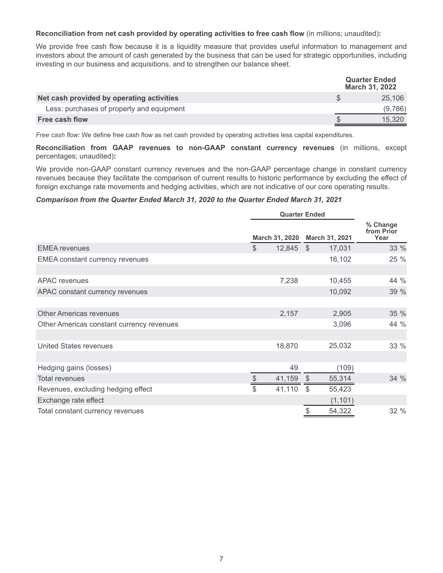**Reconciliation from net cash provided by operating activities to free cash flow** (in millions; unaudited)**:**

We provide free cash flow because it is a liquidity measure that provides useful information to management and investors about the amount of cash generated by the business that can be used for strategic opportunities, including investing in our business and acquisitions, and to strengthen our balance sheet.

|                                           | <b>Quarter Ended</b><br>March 31, 2022 |  |  |
|-------------------------------------------|----------------------------------------|--|--|
| Net cash provided by operating activities | 25.106                                 |  |  |
| Less: purchases of property and equipment | (9.786)                                |  |  |
| Free cash flow                            | 15.320                                 |  |  |

*Free cash flow:* We define free cash flow as net cash provided by operating activities less capital expenditures.

**Reconciliation from GAAP revenues to non-GAAP constant currency revenues** (in millions, except percentages; unaudited)**:**

We provide non-GAAP constant currency revenues and the non-GAAP percentage change in constant currency revenues because they facilitate the comparison of current results to historic performance by excluding the effect of foreign exchange rate movements and hedging activities, which are not indicative of our core operating results.

# *Comparison from the Quarter Ended March 31, 2020 to the Quarter Ended March 31, 2021*

|                                           | <b>Quarter Ended</b> |                |            |                |                                |
|-------------------------------------------|----------------------|----------------|------------|----------------|--------------------------------|
|                                           |                      | March 31, 2020 |            | March 31, 2021 | % Change<br>from Prior<br>Year |
| <b>EMEA</b> revenues                      | $\mathbb{S}$         | 12,845         | <b>S</b>   | 17,031         | 33 %                           |
| <b>EMEA</b> constant currency revenues    |                      |                |            | 16,102         | 25 %                           |
|                                           |                      |                |            |                |                                |
| <b>APAC</b> revenues                      |                      | 7,238          |            | 10,455         | 44 %                           |
| APAC constant currency revenues           |                      |                |            | 10,092         | 39 %                           |
|                                           |                      |                |            |                |                                |
| <b>Other Americas revenues</b>            |                      | 2,157          |            | 2,905          | 35 %                           |
| Other Americas constant currency revenues |                      |                |            | 3,096          | 44 %                           |
|                                           |                      |                |            |                |                                |
| United States revenues                    |                      | 18,870         |            | 25,032         | 33 %                           |
|                                           |                      |                |            |                |                                |
| Hedging gains (losses)                    |                      | 49             |            | (109)          |                                |
| <b>Total revenues</b>                     | \$                   | 41,159         | $\sqrt{3}$ | 55,314         | 34 %                           |
| Revenues, excluding hedging effect        | \$                   | 41,110         | \$         | 55,423         |                                |
| Exchange rate effect                      |                      |                |            | (1, 101)       |                                |
| Total constant currency revenues          |                      |                | \$         | 54,322         | 32 %                           |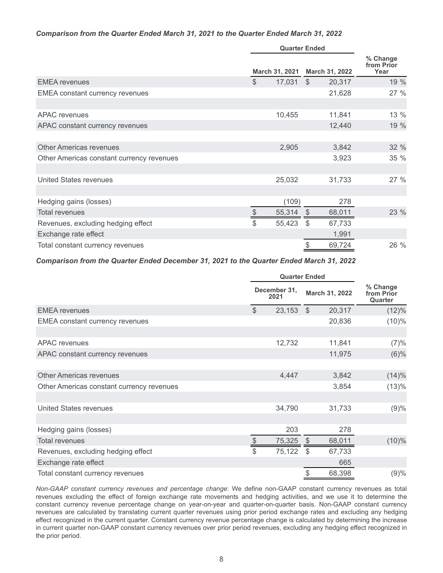## *Comparison from the Quarter Ended March 31, 2021 to the Quarter Ended March 31, 2022*

|                                           | <b>Quarter Ended</b> |                |               |                |                                |
|-------------------------------------------|----------------------|----------------|---------------|----------------|--------------------------------|
|                                           |                      | March 31, 2021 |               | March 31, 2022 | % Change<br>from Prior<br>Year |
| <b>EMEA</b> revenues                      | $\mathbb{S}$         | 17,031         | $\mathbb{S}$  | 20,317         | 19 %                           |
| <b>EMEA</b> constant currency revenues    |                      |                |               | 21,628         | 27%                            |
|                                           |                      |                |               |                |                                |
| APAC revenues                             |                      | 10,455         |               | 11,841         | 13 %                           |
| APAC constant currency revenues           |                      |                |               | 12,440         | 19 %                           |
|                                           |                      |                |               |                |                                |
| <b>Other Americas revenues</b>            |                      | 2,905          |               | 3,842          | 32 %                           |
| Other Americas constant currency revenues |                      |                |               | 3,923          | 35 %                           |
|                                           |                      |                |               |                |                                |
| United States revenues                    |                      | 25,032         |               | 31,733         | 27 %                           |
|                                           |                      |                |               |                |                                |
| Hedging gains (losses)                    |                      | (109)          |               | 278            |                                |
| <b>Total revenues</b>                     | \$                   | 55,314         | $\sqrt[6]{3}$ | 68,011         | 23 %                           |
| Revenues, excluding hedging effect        | \$                   | 55,423         | \$            | 67,733         |                                |
| Exchange rate effect                      |                      |                |               | 1,991          |                                |
| Total constant currency revenues          |                      |                | \$            | 69,724         | 26 %                           |

## *Comparison from the Quarter Ended December 31, 2021 to the Quarter Ended March 31, 2022*

|                                           |                       | <b>Quarter Ended</b> |          |                |                                   |
|-------------------------------------------|-----------------------|----------------------|----------|----------------|-----------------------------------|
|                                           |                       | December 31,<br>2021 |          | March 31, 2022 | % Change<br>from Prior<br>Quarter |
| <b>EMEA</b> revenues                      | $\mathcal{S}$         | 23,153               | <b>S</b> | 20,317         | (12)%                             |
| <b>EMEA</b> constant currency revenues    |                       |                      |          | 20,836         | $(10)\%$                          |
|                                           |                       |                      |          |                |                                   |
| APAC revenues                             |                       | 12,732               |          | 11,841         | (7)%                              |
| APAC constant currency revenues           |                       |                      |          | 11,975         | $(6)\%$                           |
|                                           |                       |                      |          |                |                                   |
| <b>Other Americas revenues</b>            |                       | 4,447                |          | 3,842          | (14)%                             |
| Other Americas constant currency revenues |                       |                      |          | 3,854          | (13)%                             |
|                                           |                       |                      |          |                |                                   |
| United States revenues                    |                       | 34,790               |          | 31,733         | (9)%                              |
|                                           |                       |                      |          |                |                                   |
| Hedging gains (losses)                    |                       | 203                  |          | 278            |                                   |
| <b>Total revenues</b>                     | $\boldsymbol{\theta}$ | 75,325               | \$       | 68,011         | $(10)\%$                          |
| Revenues, excluding hedging effect        | \$                    | 75,122               | \$       | 67,733         |                                   |
| Exchange rate effect                      |                       |                      |          | 665            |                                   |
| Total constant currency revenues          |                       |                      | \$       | 68,398         | (9)%                              |

*Non-GAAP constant currency revenues and percentage change*: We define non-GAAP constant currency revenues as total revenues excluding the effect of foreign exchange rate movements and hedging activities, and we use it to determine the constant currency revenue percentage change on year-on-year and quarter-on-quarter basis. Non-GAAP constant currency revenues are calculated by translating current quarter revenues using prior period exchange rates and excluding any hedging effect recognized in the current quarter. Constant currency revenue percentage change is calculated by determining the increase in current quarter non-GAAP constant currency revenues over prior period revenues, excluding any hedging effect recognized in the prior period.